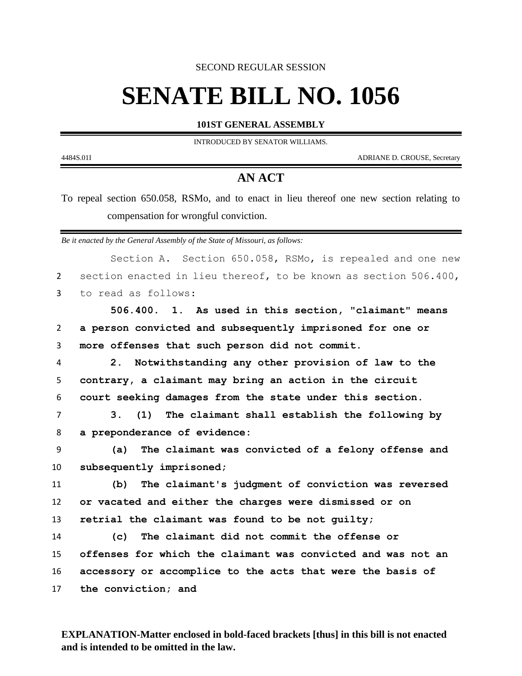SECOND REGULAR SESSION

## **SENATE BILL NO. 1056**

**101ST GENERAL ASSEMBLY**

INTRODUCED BY SENATOR WILLIAMS.

4484S.01I ADRIANE D. CROUSE, Secretary

٠

## **AN ACT**

To repeal section 650.058, RSMo, and to enact in lieu thereof one new section relating to compensation for wrongful conviction.

*Be it enacted by the General Assembly of the State of Missouri, as follows:*

|                | Section A. Section 650.058, RSMo, is repealed and one new           |
|----------------|---------------------------------------------------------------------|
| $\overline{2}$ | section enacted in lieu thereof, to be known as section 506.400,    |
| 3              | to read as follows:                                                 |
|                | 506.400. 1. As used in this section, "claimant" means               |
| $\mathbf{2}$   | a person convicted and subsequently imprisoned for one or           |
| 3              | more offenses that such person did not commit.                      |
| 4              | Notwithstanding any other provision of law to the<br>2 <sub>1</sub> |
| 5              | contrary, a claimant may bring an action in the circuit             |
| 6              | court seeking damages from the state under this section.            |
| $\overline{7}$ | (1) The claimant shall establish the following by<br>3.             |
| 8              | a preponderance of evidence:                                        |
| 9              | The claimant was convicted of a felony offense and<br>(a)           |
| 10             | subsequently imprisoned;                                            |
| 11             | The claimant's judgment of conviction was reversed<br>(b)           |
| 12             | or vacated and either the charges were dismissed or on              |
| 13             | retrial the claimant was found to be not quilty;                    |
| 14             | The claimant did not commit the offense or<br>(c)                   |
| 15             | offenses for which the claimant was convicted and was not an        |
| 16             | accessory or accomplice to the acts that were the basis of          |
| 17             | the conviction; and                                                 |
|                |                                                                     |

**EXPLANATION-Matter enclosed in bold-faced brackets [thus] in this bill is not enacted and is intended to be omitted in the law.**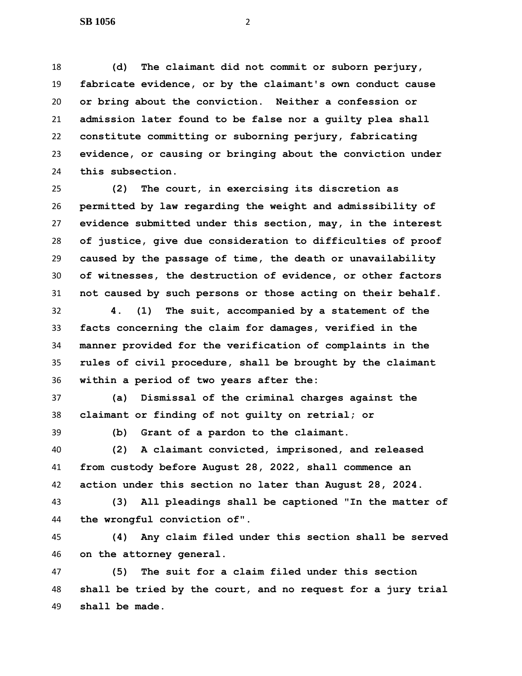**(d) The claimant did not commit or suborn perjury, fabricate evidence, or by the claimant's own conduct cause or bring about the conviction. Neither a confession or admission later found to be false nor a guilty plea shall constitute committing or suborning perjury, fabricating evidence, or causing or bringing about the conviction under this subsection.**

 **(2) The court, in exercising its discretion as permitted by law regarding the weight and admissibility of evidence submitted under this section, may, in the interest of justice, give due consideration to difficulties of proof caused by the passage of time, the death or unavailability of witnesses, the destruction of evidence, or other factors not caused by such persons or those acting on their behalf.**

 **4. (1) The suit, accompanied by a statement of the facts concerning the claim for damages, verified in the manner provided for the verification of complaints in the rules of civil procedure, shall be brought by the claimant within a period of two years after the:**

 **(a) Dismissal of the criminal charges against the claimant or finding of not guilty on retrial; or**

**(b) Grant of a pardon to the claimant.**

 **(2) A claimant convicted, imprisoned, and released from custody before August 28, 2022, shall commence an action under this section no later than August 28, 2024.**

 **(3) All pleadings shall be captioned "In the matter of the wrongful conviction of".**

 **(4) Any claim filed under this section shall be served on the attorney general.**

 **(5) The suit for a claim filed under this section shall be tried by the court, and no request for a jury trial shall be made.**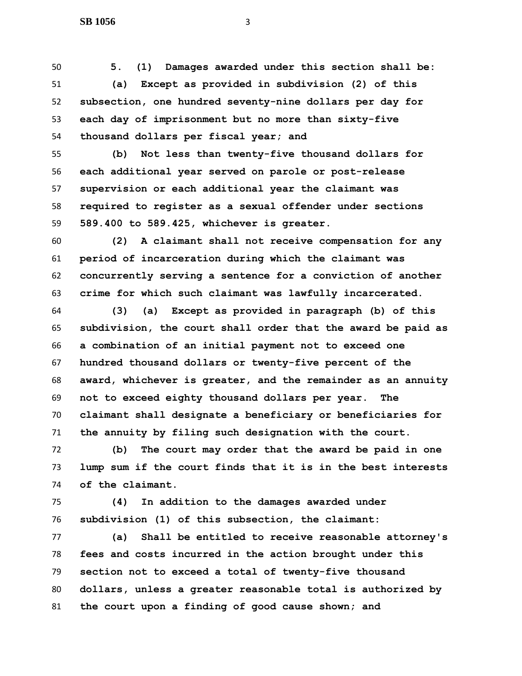**5. (1) Damages awarded under this section shall be: (a) Except as provided in subdivision (2) of this subsection, one hundred seventy-nine dollars per day for each day of imprisonment but no more than sixty-five thousand dollars per fiscal year; and**

 **(b) Not less than twenty-five thousand dollars for each additional year served on parole or post-release supervision or each additional year the claimant was required to register as a sexual offender under sections 589.400 to 589.425, whichever is greater.**

 **(2) A claimant shall not receive compensation for any period of incarceration during which the claimant was concurrently serving a sentence for a conviction of another crime for which such claimant was lawfully incarcerated.**

 **(3) (a) Except as provided in paragraph (b) of this subdivision, the court shall order that the award be paid as a combination of an initial payment not to exceed one hundred thousand dollars or twenty-five percent of the award, whichever is greater, and the remainder as an annuity not to exceed eighty thousand dollars per year. The claimant shall designate a beneficiary or beneficiaries for the annuity by filing such designation with the court.**

 **(b) The court may order that the award be paid in one lump sum if the court finds that it is in the best interests of the claimant.**

 **(4) In addition to the damages awarded under subdivision (1) of this subsection, the claimant:**

 **(a) Shall be entitled to receive reasonable attorney's fees and costs incurred in the action brought under this section not to exceed a total of twenty-five thousand dollars, unless a greater reasonable total is authorized by the court upon a finding of good cause shown; and**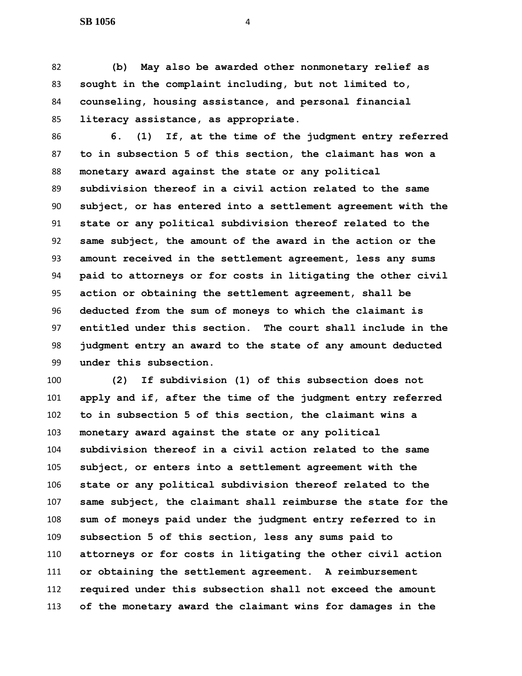**(b) May also be awarded other nonmonetary relief as sought in the complaint including, but not limited to, counseling, housing assistance, and personal financial literacy assistance, as appropriate.**

 **6. (1) If, at the time of the judgment entry referred to in subsection 5 of this section, the claimant has won a monetary award against the state or any political subdivision thereof in a civil action related to the same subject, or has entered into a settlement agreement with the state or any political subdivision thereof related to the same subject, the amount of the award in the action or the amount received in the settlement agreement, less any sums paid to attorneys or for costs in litigating the other civil action or obtaining the settlement agreement, shall be deducted from the sum of moneys to which the claimant is entitled under this section. The court shall include in the judgment entry an award to the state of any amount deducted under this subsection.**

 **(2) If subdivision (1) of this subsection does not apply and if, after the time of the judgment entry referred to in subsection 5 of this section, the claimant wins a monetary award against the state or any political subdivision thereof in a civil action related to the same subject, or enters into a settlement agreement with the state or any political subdivision thereof related to the same subject, the claimant shall reimburse the state for the sum of moneys paid under the judgment entry referred to in subsection 5 of this section, less any sums paid to attorneys or for costs in litigating the other civil action or obtaining the settlement agreement. A reimbursement required under this subsection shall not exceed the amount of the monetary award the claimant wins for damages in the**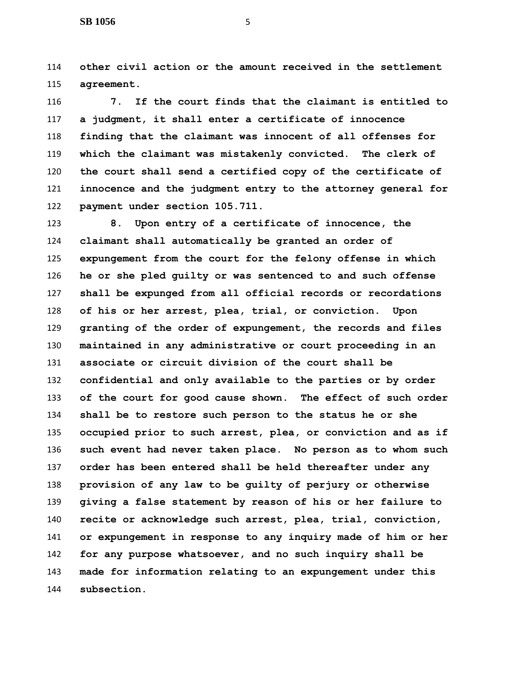**other civil action or the amount received in the settlement agreement.**

 **7. If the court finds that the claimant is entitled to a judgment, it shall enter a certificate of innocence finding that the claimant was innocent of all offenses for which the claimant was mistakenly convicted. The clerk of the court shall send a certified copy of the certificate of innocence and the judgment entry to the attorney general for payment under section 105.711.**

 **8. Upon entry of a certificate of innocence, the claimant shall automatically be granted an order of expungement from the court for the felony offense in which he or she pled guilty or was sentenced to and such offense shall be expunged from all official records or recordations of his or her arrest, plea, trial, or conviction. Upon granting of the order of expungement, the records and files maintained in any administrative or court proceeding in an associate or circuit division of the court shall be confidential and only available to the parties or by order of the court for good cause shown. The effect of such order shall be to restore such person to the status he or she occupied prior to such arrest, plea, or conviction and as if such event had never taken place. No person as to whom such order has been entered shall be held thereafter under any provision of any law to be guilty of perjury or otherwise giving a false statement by reason of his or her failure to recite or acknowledge such arrest, plea, trial, conviction, or expungement in response to any inquiry made of him or her for any purpose whatsoever, and no such inquiry shall be made for information relating to an expungement under this subsection.**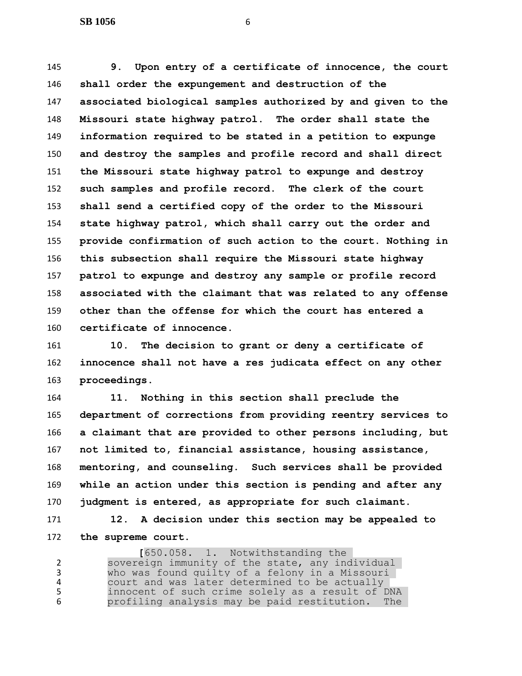**9. Upon entry of a certificate of innocence, the court shall order the expungement and destruction of the associated biological samples authorized by and given to the Missouri state highway patrol. The order shall state the information required to be stated in a petition to expunge and destroy the samples and profile record and shall direct the Missouri state highway patrol to expunge and destroy such samples and profile record. The clerk of the court shall send a certified copy of the order to the Missouri state highway patrol, which shall carry out the order and provide confirmation of such action to the court. Nothing in this subsection shall require the Missouri state highway patrol to expunge and destroy any sample or profile record associated with the claimant that was related to any offense other than the offense for which the court has entered a certificate of innocence.**

 **10. The decision to grant or deny a certificate of innocence shall not have a res judicata effect on any other proceedings.**

 **11. Nothing in this section shall preclude the department of corrections from providing reentry services to a claimant that are provided to other persons including, but not limited to, financial assistance, housing assistance, mentoring, and counseling. Such services shall be provided while an action under this section is pending and after any judgment is entered, as appropriate for such claimant.**

 **12. A decision under this section may be appealed to the supreme court.**

1. Notwithstanding the<br>Sovereign immunity of the state, any inc sovereign immunity of the state, any individual who was found guilty of a felony in a Missouri court and was later determined to be actually innocent of such crime solely as a result of DNA profiling analysis may be paid restitution. The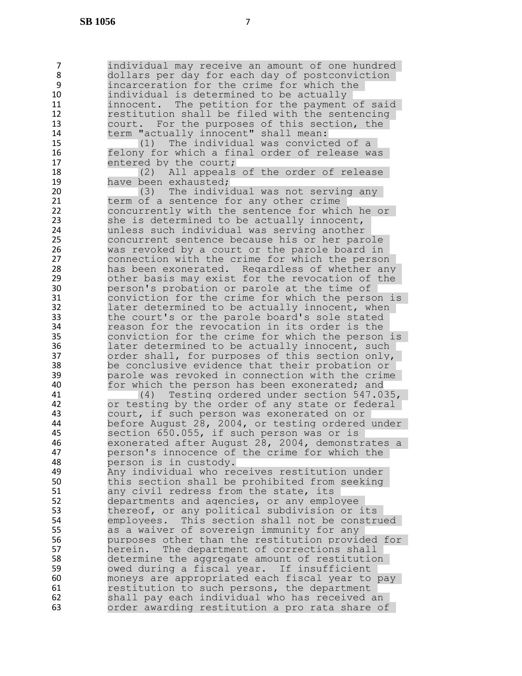7 individual may receive an amount of one hundred<br>8 dollars per day for each day of postconviction dollars per day for each day of postconviction 9 incarceration for the crime for which the<br>10 individual is determined to be actually individual is determined to be actually 11 innocent. The petition for the payment of said 12 restitution shall be filed with the sentencing 13 court. For the purposes of this section, the 14 term "actually innocent" shall mean: 15 (1) The individual was convicted of a 16 felony for which a final order of release was<br>17 entered by the court: 17 entered by the court;<br>18 (2) All appeals 18 (2) All appeals of the order of release<br>19 have been exhausted: 19 **have been exhausted;**<br>20 (3) The indivious 20 (3) The individual was not serving any<br>21 term of a sentence for any other crime 21 term of a sentence for any other crime<br>22 concurrently with the sentence for whic 22 concurrently with the sentence for which he or<br>23 she is determined to be actually innocent, 23 she is determined to be actually innocent,<br>24 anness such individual was serving another 24 unless such individual was serving another 25 concurrent sentence because his or her parole<br>26 was revoked by a court or the parole board in 26 was revoked by a court or the parole board in<br>27 connection with the crime for which the person 27 connection with the crime for which the person<br>28 has been exonerated. Regardless of whether any has been exonerated. Regardless of whether any 29 other basis may exist for the revocation of the 30 person's probation or parole at the time of 31 conviction for the crime for which the person is 32 later determined to be actually innocent, when 33 the court's or the parole board's sole stated 34 reason for the revocation in its order is the 35 conviction for the crime for which the person is 36 later determined to be actually innocent, such<br>37 order shall, for purposes of this section only, 37 order shall, for purposes of this section only,<br>38 be conclusive evidence that their probation or 38 be conclusive evidence that their probation or<br>39 barole was revoked in connection with the crime 39 being parole was revoked in connection with the crime and the parole which the person has been exonerated; and 40 for which the person has been exonerated; and<br>41 (4) Testing ordered under section 547.0 41 (4) Testing ordered under section 547.035,<br>42 or testing by the order of any state or federal or testing by the order of any state or federal 43 court, if such person was exonerated on or 44 before August 28, 2004, or testing ordered under<br>45 section 650.055, if such person was or is section 650.055, if such person was or is 46 exonerated after August 28, 2004, demonstrates a 47 person's innocence of the crime for which the 48 person is in custody. 49 Any individual who receives restitution under 50 this section shall be prohibited from seeking 51 any civil redress from the state, its 52 departments and agencies, or any employee 53 thereof, or any political subdivision or its<br>54 employees. This section shall not be constru 54 employees. This section shall not be construed<br>55 as a waiver of sovereign immunity for any 55 as a waiver of sovereign immunity for any<br>56 burposes other than the restitution provic purposes other than the restitution provided for 57 herein. The department of corrections shall 58 determine the aggregate amount of restitution<br>59 owed during a fiscal year. If insufficient owed during a fiscal year. If insufficient 60 moneys are appropriated each fiscal year to pay 61 restitution to such persons, the department 62 shall pay each individual who has received an 63 order awarding restitution a pro rata share of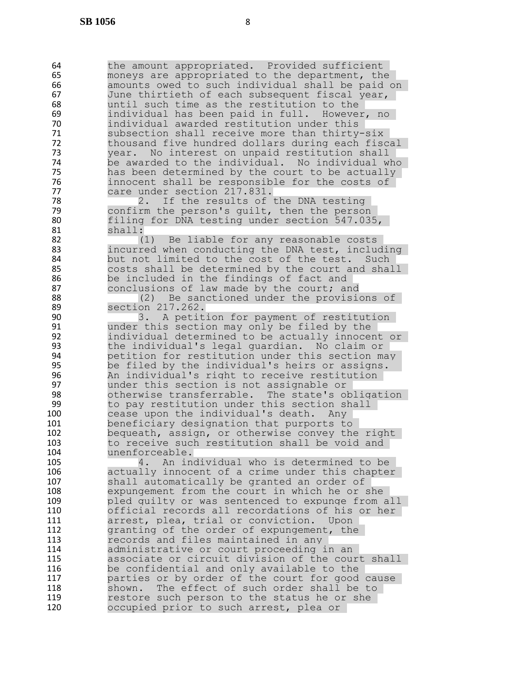64 the amount appropriated. Provided sufficient<br>65 moneys are appropriated to the department, the moneys are appropriated to the department, the 66 6 amounts owed to such individual shall be paid on<br>67 5 June thirtieth of each subsequent fiscal year, 67 June thirtieth of each subsequent fiscal year,<br>68 The until such time as the restitution to the until such time as the restitution to the 69 individual has been paid in full. However, no 70 individual awarded restitution under this 71 Subsection shall receive more than thirty-six<br>72 thousand five hundred dollars during each fise thousand five hundred dollars during each fiscal 73 year. No interest on unpaid restitution shall<br>74 be awarded to the individual. No individual w 74 be awarded to the individual. No individual who<br>75 bas been determined by the court to be actually 75 has been determined by the court to be actually<br>76 http://www.maillibe.responsible for the costs of 76 innocent shall be responsible for the costs of<br>77 care under section 217.831. 77 care under section 217.831.<br>78 2. If the results of 78 2. If the results of the DNA testing<br>79 confirm the person's quilt, then the person 79 confirm the person's quilt, then the person<br>80 filing for DNA testing under section 547.03 80 filing for DNA testing under section 547.035,<br>81 shall: 81 shall:<br>82 ( 82 (1) Be liable for any reasonable costs<br>83 11 incurred when conducting the DNA test, inclu 83 incurred when conducting the DNA test, including<br>84 but not limited to the cost of the test. Such but not limited to the cost of the test. Such 85 costs shall be determined by the court and shall 86 be included in the findings of fact and 87 conclusions of law made by the court; and<br>88 (2) Be sanctioned under the provisional 88 (2) Be sanctioned under the provisions of<br>89 Section 217.262. section 217.262. 90 3. A petition for payment of restitution 91 under this section may only be filed by the 92 individual determined to be actually innocent or 93 the individual's legal guardian. No claim or 94 betition for restitution under this section may<br>95 be filed by the individual's heirs or assigns. 95 be filed by the individual's heirs or assigns. 96 Bookhom And individual's right to receive restitution<br>97 Bounder this section is not assignable or 97 under this section is not assignable or 98 otherwise transferrable. The state's obligation<br>99 bo pay restitution under this section shall 99 to pay restitution under this section shall<br>100 cease upon the individual's death. Any cease upon the individual's death. Any 101 beneficiary designation that purports to<br>102 bequeath, assign, or otherwise convey th bequeath, assign, or otherwise convey the right 103 to receive such restitution shall be void and 104 unenforceable. 105 4. An individual who is determined to be 106 actually innocent of a crime under this chapter 107 shall automatically be granted an order of 108 expungement from the court in which he or she 109 pled guilty or was sentenced to expunge from all 110 official records all recordations of his or her 111 **11** arrest, plea, trial or conviction. Upon<br>112 **112** aranting of the order of expungement, the granting of the order of expungement, the 113 records and files maintained in any 114 administrative or court proceeding in an 115 associate or circuit division of the court shall<br>116 be confidential and only available to the be confidential and only available to the 117 parties or by order of the court for good cause 118 shown. The effect of such order shall be to 119 119 restore such person to the status he or she<br>120 120 cocupied prior to such arrest, plea or occupied prior to such arrest, plea or